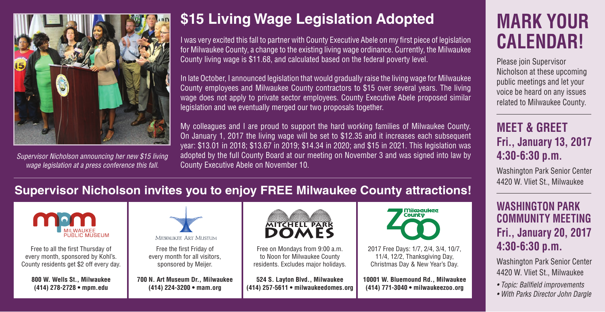

*Supervisor Nicholson announcing her new \$15 living wage legislation at a press conference this fall.*

## **\$15 Living Wage Legislation Adopted**

I was very excited this fall to partner with County Executive Abele on my first piece of legislation for Milwaukee County, a change to the existing living wage ordinance. Currently, the Milwaukee County living wage is \$11.68, and calculated based on the federal poverty level.

In late October, I announced legislation that would gradually raise the living wage for Milwaukee County employees and Milwaukee County contractors to \$15 over several years. The living wage does not apply to private sector employees. County Executive Abele proposed similar legislation and we eventually merged our two proposals together.

My colleagues and I are proud to support the hard working families of Milwaukee County. On January 1, 2017 the living wage will be set to \$12.35 and it increases each subsequent year: \$13.01 in 2018; \$13.67 in 2019; \$14.34 in 2020; and \$15 in 2021. This legislation was adopted by the full County Board at our meeting on November 3 and was signed into law by County Executive Abele on November 10.

# **MARK YOUR CALENDAR!**

Please join Supervisor Nicholson at these upcoming public meetings and let your voice be heard on any issues related to Milwaukee County.

### **MEET & GREET Fri., January 13, 2017 4:30-6:30 p.m.**

Washington Park Senior Center 4420 W. Vliet St., Milwaukee

#### **WASHINGTON PARK COMMUNITY MEETING Fri., January 20, 2017 4:30-6:30 p.m.**

Washington Park Senior Center 4420 W. Vliet St., Milwaukee

- *Topic: Ballfield improvements*
- *With Parks Director John Dargle*

### **Supervisor Nicholson invites you to enjoy FREE Milwaukee County attractions!**



Free to all the first Thursday of every month, sponsored by Kohl's. County residents get \$2 off every day.

**800 W. Wells St., Milwaukee (414) 278-2728 • mpm.edu**



Free the first Friday of every month for all visitors, sponsored by Meijer.

**700 N. Art Museum Dr., Milwaukee (414) 224-3200 • mam.org** 



Free on Mondays from 9:00 a.m. to Noon for Milwaukee County residents. Excludes major holidays.

**524 S. Layton Blvd., Milwaukee (414) 257-5611 • milwaukeedomes.org**



2017 Free Days: 1/7, 2/4, 3/4, 10/7, 11/4, 12/2, Thanksgiving Day, Christmas Day & New Year's Day.

**10001 W. Bluemound Rd., Milwaukee (414) 771-3040 • milwaukeezoo.org**